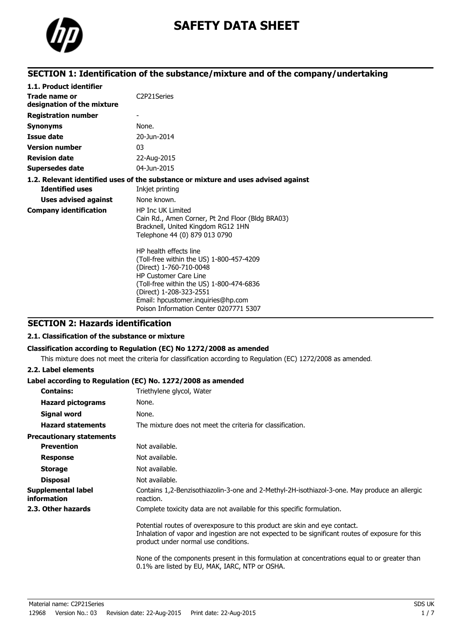

# **SAFETY DATA SHEET**

# **SECTION 1: Identification of the substance/mixture and of the company/undertaking**

| 1.1. Product identifier                     |                                                                                                                                                                                                                                                                                      |
|---------------------------------------------|--------------------------------------------------------------------------------------------------------------------------------------------------------------------------------------------------------------------------------------------------------------------------------------|
| Trade name or<br>designation of the mixture | C <sub>2</sub> P <sub>21</sub> Series                                                                                                                                                                                                                                                |
| <b>Registration number</b>                  |                                                                                                                                                                                                                                                                                      |
| <b>Synonyms</b>                             | None.                                                                                                                                                                                                                                                                                |
| Issue date                                  | 20-Jun-2014                                                                                                                                                                                                                                                                          |
| <b>Version number</b>                       | 03                                                                                                                                                                                                                                                                                   |
| <b>Revision date</b>                        | 22-Aug-2015                                                                                                                                                                                                                                                                          |
| <b>Supersedes date</b>                      | 04-Jun-2015                                                                                                                                                                                                                                                                          |
|                                             | 1.2. Relevant identified uses of the substance or mixture and uses advised against                                                                                                                                                                                                   |
| <b>Identified uses</b>                      | Inkjet printing                                                                                                                                                                                                                                                                      |
| <b>Uses advised against</b>                 | None known.                                                                                                                                                                                                                                                                          |
| <b>Company identification</b>               | <b>HP Inc UK Limited</b><br>Cain Rd., Amen Corner, Pt 2nd Floor (Bldg BRA03)<br>Bracknell, United Kingdom RG12 1HN<br>Telephone 44 (0) 879 013 0790                                                                                                                                  |
|                                             | HP health effects line<br>(Toll-free within the US) 1-800-457-4209<br>(Direct) 1-760-710-0048<br><b>HP Customer Care Line</b><br>(Toll-free within the US) 1-800-474-6836<br>(Direct) 1-208-323-2551<br>Email: hpcustomer.inquiries@hp.com<br>Poison Information Center 0207771 5307 |

## **SECTION 2: Hazards identification**

### **2.1. Classification of the substance or mixture**

### **Classification according to Regulation (EC) No 1272/2008 as amended**

This mixture does not meet the criteria for classification according to Regulation (EC) 1272/2008 as amended.

### **2.2. Label elements**

### **Label according to Regulation (EC) No. 1272/2008 as amended**

| <b>Contains:</b>                         | Triethylene glycol, Water                                                                                                                                                                                              |
|------------------------------------------|------------------------------------------------------------------------------------------------------------------------------------------------------------------------------------------------------------------------|
| <b>Hazard pictograms</b>                 | None.                                                                                                                                                                                                                  |
| Signal word                              | None.                                                                                                                                                                                                                  |
| <b>Hazard statements</b>                 | The mixture does not meet the criteria for classification.                                                                                                                                                             |
| <b>Precautionary statements</b>          |                                                                                                                                                                                                                        |
| <b>Prevention</b>                        | Not available.                                                                                                                                                                                                         |
| <b>Response</b>                          | Not available.                                                                                                                                                                                                         |
| <b>Storage</b>                           | Not available.                                                                                                                                                                                                         |
| <b>Disposal</b>                          | Not available.                                                                                                                                                                                                         |
| Supplemental label<br><i>information</i> | Contains 1,2-Benzisothiazolin-3-one and 2-Methyl-2H-isothiazol-3-one. May produce an allergic<br>reaction.                                                                                                             |
| 2.3. Other hazards                       | Complete toxicity data are not available for this specific formulation.                                                                                                                                                |
|                                          | Potential routes of overexposure to this product are skin and eye contact.<br>Inhalation of vapor and ingestion are not expected to be significant routes of exposure for this<br>product under normal use conditions. |
|                                          | None of the components present in this formulation at concentrations equal to or greater than<br>0.1% are listed by EU, MAK, IARC, NTP or OSHA.                                                                        |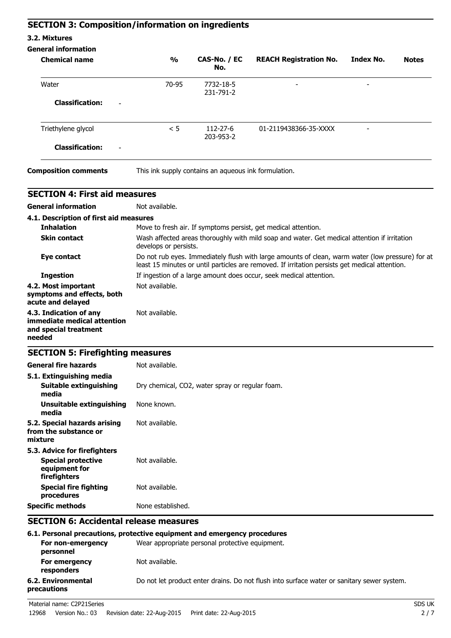# **SECTION 3: Composition/information on ingredients**

### **3.2. Mixtures**

### **General information**

| <b>Chemical name</b>                               | $\frac{1}{2}$ | CAS-No. / EC<br>No.                                  | <b>REACH Registration No.</b> | <b>Index No.</b>         | <b>Notes</b> |
|----------------------------------------------------|---------------|------------------------------------------------------|-------------------------------|--------------------------|--------------|
| Water                                              | 70-95         | 7732-18-5<br>231-791-2                               | $\overline{\phantom{a}}$      | $\overline{\phantom{a}}$ |              |
| <b>Classification:</b><br>$\overline{\phantom{a}}$ |               |                                                      |                               |                          |              |
| Triethylene glycol                                 | < 5           | 112-27-6<br>203-953-2                                | 01-2119438366-35-XXXX         | $\overline{a}$           |              |
| <b>Classification:</b><br>$\overline{\phantom{a}}$ |               |                                                      |                               |                          |              |
| <b>Composition comments</b>                        |               | This ink supply contains an aqueous ink formulation. |                               |                          |              |

| <b>SECTION 4: First aid measures</b>                                                                                                         |                                                                                                                                                                                                    |  |  |
|----------------------------------------------------------------------------------------------------------------------------------------------|----------------------------------------------------------------------------------------------------------------------------------------------------------------------------------------------------|--|--|
| <b>General information</b>                                                                                                                   | Not available.                                                                                                                                                                                     |  |  |
| 4.1. Description of first aid measures                                                                                                       |                                                                                                                                                                                                    |  |  |
| <b>Inhalation</b>                                                                                                                            | Move to fresh air. If symptoms persist, get medical attention.                                                                                                                                     |  |  |
| <b>Skin contact</b><br>Wash affected areas thoroughly with mild soap and water. Get medical attention if irritation<br>develops or persists. |                                                                                                                                                                                                    |  |  |
| Eye contact                                                                                                                                  | Do not rub eyes. Immediately flush with large amounts of clean, warm water (low pressure) for at<br>least 15 minutes or until particles are removed. If irritation persists get medical attention. |  |  |
| <b>Ingestion</b>                                                                                                                             | If ingestion of a large amount does occur, seek medical attention.                                                                                                                                 |  |  |
| 4.2. Most important<br>symptoms and effects, both<br>acute and delayed                                                                       | Not available.                                                                                                                                                                                     |  |  |
| 4.3. Indication of any<br>immediate medical attention<br>and special treatment<br>needed                                                     | Not available.                                                                                                                                                                                     |  |  |
| <b>SECTION 5: Firefighting measures</b>                                                                                                      |                                                                                                                                                                                                    |  |  |
| <b>General fire hazards</b>                                                                                                                  | Not available.                                                                                                                                                                                     |  |  |
| 5.1. Extinguishing media<br><b>Suitable extinguishing</b><br>media                                                                           | Dry chemical, CO2, water spray or regular foam.                                                                                                                                                    |  |  |
| <b>Unsuitable extinguishing</b><br>media                                                                                                     | None known.                                                                                                                                                                                        |  |  |
| 5.2. Special hazards arising<br>from the substance or<br>mixture                                                                             | Not available.                                                                                                                                                                                     |  |  |
| 5.3. Advice for firefighters                                                                                                                 |                                                                                                                                                                                                    |  |  |
| <b>Special protective</b><br>equipment for<br>firefighters                                                                                   | Not available.                                                                                                                                                                                     |  |  |
| <b>Special fire fighting</b><br>procedures                                                                                                   | Not available.                                                                                                                                                                                     |  |  |
| <b>Specific methods</b>                                                                                                                      | None established.                                                                                                                                                                                  |  |  |
| <b>SECTION 6: Accidental release measures</b>                                                                                                |                                                                                                                                                                                                    |  |  |
|                                                                                                                                              | 6.1. Personal precautions, protective equipment and emergency procedures                                                                                                                           |  |  |

|                                   | 6.1. Personal precautions, protective equipment and emergency procedures                   |
|-----------------------------------|--------------------------------------------------------------------------------------------|
| For non-emergency<br>personnel    | Wear appropriate personal protective equipment.                                            |
| For emergency<br>responders       | Not available.                                                                             |
| 6.2. Environmental<br>precautions | Do not let product enter drains. Do not flush into surface water or sanitary sewer system. |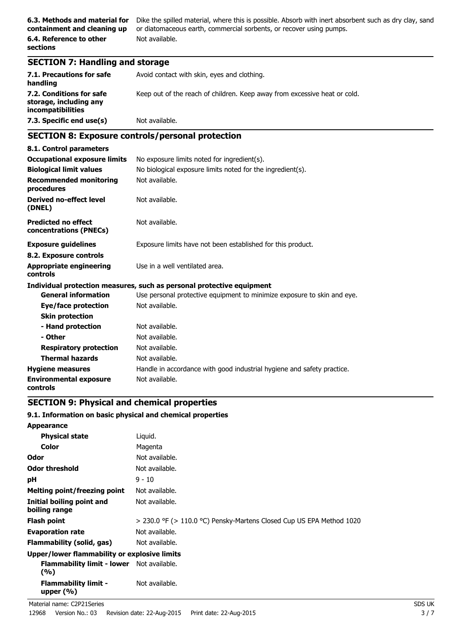**6.3. Methods and material for** Dike the spilled material, where this is possible. Absorb with inert absorbent such as dry clay, sand or diatomaceous earth, commercial sorbents, or recover using pumps. Not available.

### **SECTION 7: Handling and storage**

| 7.1. Precautions for safe<br>handling                                   | Avoid contact with skin, eyes and clothing.                               |
|-------------------------------------------------------------------------|---------------------------------------------------------------------------|
| 7.2. Conditions for safe<br>storage, including any<br>incompatibilities | Keep out of the reach of children. Keep away from excessive heat or cold. |
| 7.3. Specific end use(s)                                                | Not available.                                                            |

# **SECTION 8: Exposure controls/personal protection**

| 8.1. Control parameters                                                                      |                                                                         |  |  |
|----------------------------------------------------------------------------------------------|-------------------------------------------------------------------------|--|--|
| <b>Occupational exposure limits</b><br>No exposure limits noted for ingredient(s).           |                                                                         |  |  |
| <b>Biological limit values</b><br>No biological exposure limits noted for the ingredient(s). |                                                                         |  |  |
| <b>Recommended monitoring</b><br>procedures                                                  | Not available.                                                          |  |  |
| <b>Derived no-effect level</b><br>(DNEL)                                                     | Not available.                                                          |  |  |
| <b>Predicted no effect</b><br>concentrations (PNECs)                                         | Not available.                                                          |  |  |
| <b>Exposure guidelines</b>                                                                   | Exposure limits have not been established for this product.             |  |  |
| 8.2. Exposure controls                                                                       |                                                                         |  |  |
| <b>Appropriate engineering</b><br><b>controls</b>                                            | Use in a well ventilated area.                                          |  |  |
|                                                                                              | Individual protection measures, such as personal protective equipment   |  |  |
| <b>General information</b>                                                                   | Use personal protective equipment to minimize exposure to skin and eye. |  |  |
| Eye/face protection                                                                          | Not available.                                                          |  |  |
| <b>Skin protection</b>                                                                       |                                                                         |  |  |
| - Hand protection                                                                            | Not available.                                                          |  |  |
| - Other                                                                                      | Not available.                                                          |  |  |
| <b>Respiratory protection</b>                                                                | Not available.                                                          |  |  |
| <b>Thermal hazards</b>                                                                       | Not available.                                                          |  |  |
| <b>Hygiene measures</b>                                                                      | Handle in accordance with good industrial hygiene and safety practice.  |  |  |
| <b>Environmental exposure</b><br>controls                                                    | Not available.                                                          |  |  |

### **SECTION 9: Physical and chemical properties**

### **9.1. Information on basic physical and chemical properties**

| <b>Appearance</b>                                       |                                                                           |
|---------------------------------------------------------|---------------------------------------------------------------------------|
| <b>Physical state</b>                                   | Liguid.                                                                   |
| Color                                                   | Magenta                                                                   |
| Odor                                                    | Not available.                                                            |
| <b>Odor threshold</b>                                   | Not available.                                                            |
| рH                                                      | $9 - 10$                                                                  |
| Melting point/freezing point                            | Not available.                                                            |
| Initial boiling point and<br>boiling range              | Not available.                                                            |
| <b>Flash point</b>                                      | $>$ 230.0 °F ( $>$ 110.0 °C) Pensky-Martens Closed Cup US EPA Method 1020 |
| <b>Evaporation rate</b>                                 | Not available.                                                            |
| Flammability (solid, gas)                               | Not available.                                                            |
| Upper/lower flammability or explosive limits            |                                                                           |
| <b>Flammability limit - lower</b> Not available.<br>(%) |                                                                           |
| <b>Flammability limit -</b><br>upper $(\%)$             | Not available.                                                            |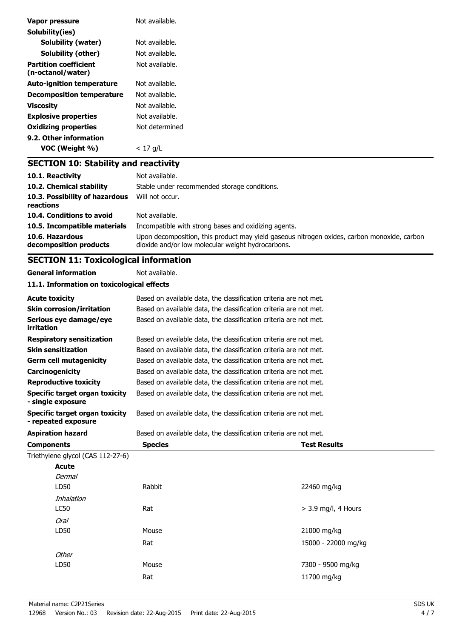| Vapor pressure                                    | Not available. |
|---------------------------------------------------|----------------|
| Solubility(ies)                                   |                |
| <b>Solubility (water)</b>                         | Not available. |
| <b>Solubility (other)</b>                         | Not available. |
| <b>Partition coefficient</b><br>(n-octanol/water) | Not available. |
| <b>Auto-ignition temperature</b>                  | Not available. |
| <b>Decomposition temperature</b>                  | Not available. |
| <b>Viscosity</b>                                  | Not available. |
| <b>Explosive properties</b>                       | Not available. |
| <b>Oxidizing properties</b>                       | Not determined |
| 9.2. Other information                            |                |
| VOC (Weight %)                                    | $< 17$ g/L     |
| <b>SECTION 10: Stability and reactivity</b>       |                |
| $101$ Decativity                                  | Not ovailable  |

| 10.1. Reactivity                            | Not available.                                                                                                                                   |
|---------------------------------------------|--------------------------------------------------------------------------------------------------------------------------------------------------|
| 10.2. Chemical stability                    | Stable under recommended storage conditions.                                                                                                     |
| 10.3. Possibility of hazardous<br>reactions | Will not occur.                                                                                                                                  |
| 10.4. Conditions to avoid                   | Not available.                                                                                                                                   |
| 10.5. Incompatible materials                | Incompatible with strong bases and oxidizing agents.                                                                                             |
| 10.6. Hazardous<br>decomposition products   | Upon decomposition, this product may yield gaseous nitrogen oxides, carbon monoxide, carbon<br>dioxide and/or low molecular weight hydrocarbons. |

# **SECTION 11: Toxicological information**

**General information** Not available.

**11.1. Information on toxicological effects**

| <b>Acute toxicity</b>                                      | Based on available data, the classification criteria are not met. |                       |  |
|------------------------------------------------------------|-------------------------------------------------------------------|-----------------------|--|
| <b>Skin corrosion/irritation</b>                           | Based on available data, the classification criteria are not met. |                       |  |
| Serious eye damage/eye<br>irritation                       | Based on available data, the classification criteria are not met. |                       |  |
| <b>Respiratory sensitization</b>                           | Based on available data, the classification criteria are not met. |                       |  |
| <b>Skin sensitization</b>                                  | Based on available data, the classification criteria are not met. |                       |  |
| <b>Germ cell mutagenicity</b>                              | Based on available data, the classification criteria are not met. |                       |  |
| Carcinogenicity                                            | Based on available data, the classification criteria are not met. |                       |  |
| <b>Reproductive toxicity</b>                               | Based on available data, the classification criteria are not met. |                       |  |
| <b>Specific target organ toxicity</b><br>- single exposure | Based on available data, the classification criteria are not met. |                       |  |
| Specific target organ toxicity<br>- repeated exposure      | Based on available data, the classification criteria are not met. |                       |  |
| <b>Aspiration hazard</b>                                   | Based on available data, the classification criteria are not met. |                       |  |
|                                                            |                                                                   |                       |  |
| <b>Components</b>                                          | <b>Species</b>                                                    | <b>Test Results</b>   |  |
| Triethylene glycol (CAS 112-27-6)                          |                                                                   |                       |  |
| Acute                                                      |                                                                   |                       |  |
| Dermal                                                     |                                                                   |                       |  |
| LD50                                                       | Rabbit                                                            | 22460 mg/kg           |  |
| Inhalation                                                 |                                                                   |                       |  |
| <b>LC50</b>                                                | Rat                                                               | $>$ 3.9 mg/l, 4 Hours |  |
| <b>Oral</b>                                                |                                                                   |                       |  |
| LD50                                                       | Mouse                                                             | 21000 mg/kg           |  |
|                                                            | Rat                                                               | 15000 - 22000 mg/kg   |  |
| Other                                                      |                                                                   |                       |  |
| LD50                                                       | Mouse                                                             | 7300 - 9500 mg/kg     |  |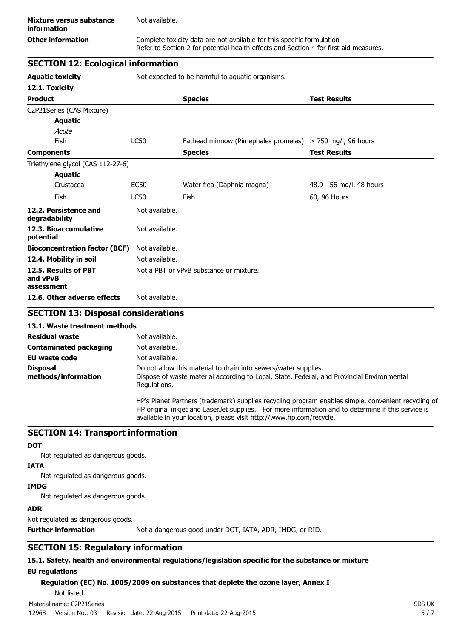Refer to Section 2 for potential health effects and Section 4 for first aid measures.

# **SECTION 12: Ecological information**

**Aquatic toxicity** Not expected to be harmful to aquatic organisms.

| 12.1. Toxicity                                 |                |                                                           |                          |
|------------------------------------------------|----------------|-----------------------------------------------------------|--------------------------|
| <b>Product</b>                                 |                | <b>Species</b>                                            | <b>Test Results</b>      |
| C2P21Series (CAS Mixture)                      |                |                                                           |                          |
| <b>Aquatic</b>                                 |                |                                                           |                          |
| Acute                                          |                |                                                           |                          |
| <b>Fish</b>                                    | <b>LC50</b>    | Fathead minnow (Pimephales promelas) > 750 mg/l, 96 hours |                          |
| <b>Components</b>                              |                | <b>Species</b>                                            | <b>Test Results</b>      |
| Triethylene glycol (CAS 112-27-6)              |                |                                                           |                          |
| <b>Aquatic</b>                                 |                |                                                           |                          |
| Crustacea                                      | <b>EC50</b>    | Water flea (Daphnia magna)                                | 48.9 - 56 mg/l, 48 hours |
| Fish                                           | <b>LC50</b>    | Fish                                                      | 60, 96 Hours             |
| 12.2. Persistence and<br>degradability         | Not available. |                                                           |                          |
| 12.3. Bioaccumulative<br>potential             | Not available. |                                                           |                          |
| <b>Bioconcentration factor (BCF)</b>           | Not available. |                                                           |                          |
| 12.4. Mobility in soil                         | Not available. |                                                           |                          |
| 12.5. Results of PBT<br>and vPvB<br>assessment |                | Not a PBT or vPvB substance or mixture.                   |                          |
| 12.6. Other adverse effects                    | Not available. |                                                           |                          |

## **SECTION 13: Disposal considerations**

### **13.1. Waste treatment methods**

| <b>Residual waste</b>                  | Not available.                                                                                                                                                                                                                                                                    |
|----------------------------------------|-----------------------------------------------------------------------------------------------------------------------------------------------------------------------------------------------------------------------------------------------------------------------------------|
| <b>Contaminated packaging</b>          | Not available.                                                                                                                                                                                                                                                                    |
| EU waste code                          | Not available.                                                                                                                                                                                                                                                                    |
| <b>Disposal</b><br>methods/information | Do not allow this material to drain into sewers/water supplies.<br>Dispose of waste material according to Local, State, Federal, and Provincial Environmental<br>Regulations.                                                                                                     |
|                                        | HP's Planet Partners (trademark) supplies recycling program enables simple, convenient recycling of<br>HP original inkjet and Laser Jet supplies. For more information and to determine if this service is<br>available in your location, please visit http://www.hp.com/recycle. |

### **SECTION 14: Transport information**

### **DOT**

Not regulated as dangerous goods.

### **IATA**

Not regulated as dangerous goods.

### **IMDG**

Not regulated as dangerous goods.

### **ADR**

Not regulated as dangerous goods.

**Further information** Not a dangerous good under DOT, IATA, ADR, IMDG, or RID.

# **SECTION 15: Regulatory information**

### **15.1. Safety, health and environmental regulations/legislation specific for the substance or mixture EU regulations**

**Regulation (EC) No. 1005/2009 on substances that deplete the ozone layer, Annex I**

Not listed.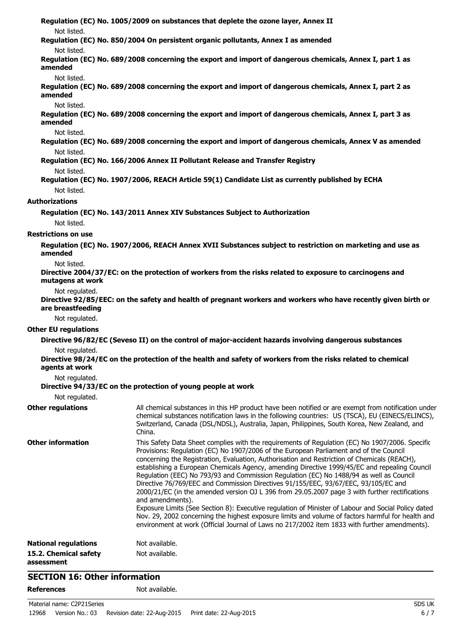**Regulation (EC) No. 1005/2009 on substances that deplete the ozone layer, Annex II** Not listed. **Regulation (EC) No. 850/2004 On persistent organic pollutants, Annex I as amended** Not listed. **Regulation (EC) No. 689/2008 concerning the export and import of dangerous chemicals, Annex I, part 1 as amended** Not listed. **Regulation (EC) No. 689/2008 concerning the export and import of dangerous chemicals, Annex I, part 2 as amended** Not listed. **Regulation (EC) No. 689/2008 concerning the export and import of dangerous chemicals, Annex I, part 3 as amended** Not listed. **Regulation (EC) No. 689/2008 concerning the export and import of dangerous chemicals, Annex V as amended** Not listed. **Regulation (EC) No. 166/2006 Annex II Pollutant Release and Transfer Registry** Not listed. **Regulation (EC) No. 1907/2006, REACH Article 59(1) Candidate List as currently published by ECHA** Not listed. **Authorizations Regulation (EC) No. 143/2011 Annex XIV Substances Subject to Authorization** Not listed. **Restrictions on use Regulation (EC) No. 1907/2006, REACH Annex XVII Substances subject to restriction on marketing and use as amended** Not listed. **Directive 2004/37/EC: on the protection of workers from the risks related to exposure to carcinogens and mutagens at work** Not regulated. **Directive 92/85/EEC: on the safety and health of pregnant workers and workers who have recently given birth or are breastfeeding** Not regulated. **Other EU regulations Directive 96/82/EC (Seveso II) on the control of major-accident hazards involving dangerous substances** Not regulated. **Directive 98/24/EC on the protection of the health and safety of workers from the risks related to chemical agents at work** Not regulated. **Directive 94/33/EC on the protection of young people at work** Not regulated. **Other regulations** All chemical substances in this HP product have been notified or are exempt from notification under chemical substances notification laws in the following countries: US (TSCA), EU (EINECS/ELINCS), Switzerland, Canada (DSL/NDSL), Australia, Japan, Philippines, South Korea, New Zealand, and China. **Other information** This Safety Data Sheet complies with the requirements of Regulation (EC) No 1907/2006. Specific Provisions: Regulation (EC) No 1907/2006 of the European Parliament and of the Council concerning the Registration, Evaluation, Authorisation and Restriction of Chemicals (REACH), establishing a European Chemicals Agency, amending Directive 1999/45/EC and repealing Council Regulation (EEC) No 793/93 and Commission Regulation (EC) No 1488/94 as well as Council Directive 76/769/EEC and Commission Directives 91/155/EEC, 93/67/EEC, 93/105/EC and 2000/21/EC (in the amended version OJ L 396 from 29.05.2007 page 3 with further rectifications and amendments). Exposure Limits (See Section 8): Executive regulation of Minister of Labour and Social Policy dated Nov. 29, 2002 concerning the highest exposure limits and volume of factors harmful for health and environment at work (Official Journal of Laws no 217/2002 item 1833 with further amendments). **National regulations** Not available. **15.2. Chemical safety assessment** Not available.

## **SECTION 16: Other information**

**References** Not available.